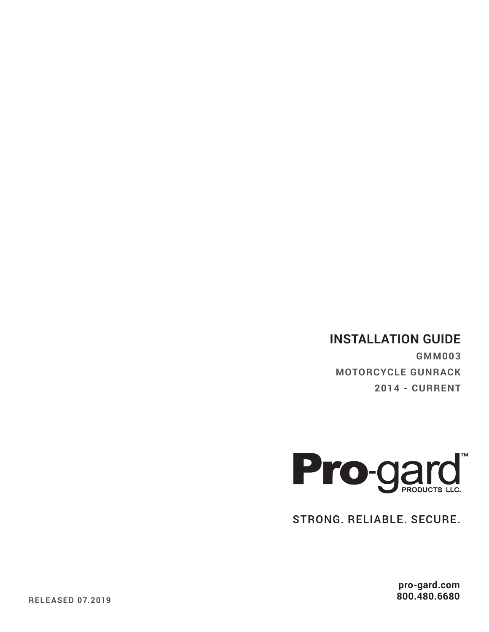# **INSTALLATION GUIDE**

**GMM003 MOTORCYCLE GUNRACK 2014 - CURRENT**



STRONG. RELIABLE. SECURE.

**pro-gard.com 800.480.6680**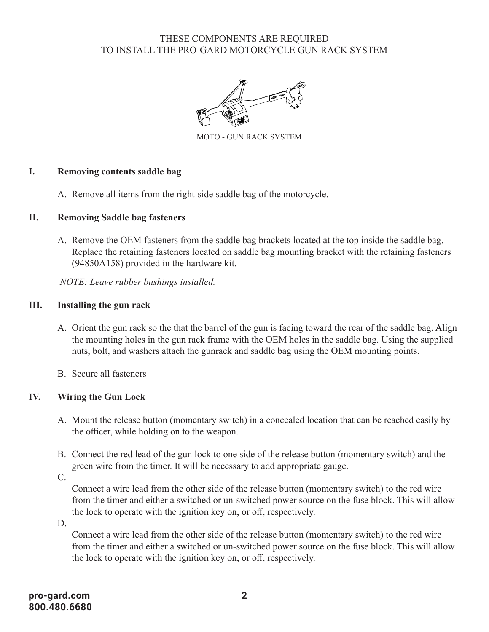# THESE COMPONENTS ARE REQUIRED <u>TO INSTALL THE PRO-GARD MOTORCYCLE GUN RACK SYSTEM</u>



MOTO - GUN RACK SYSTEM

### **I. Removing contents saddle bag**

A. Remove all items from the right-side saddle bag of the motorcycle.

### **II. Removing Saddle bag fasteners**

A. Remove the OEM fasteners from the saddle bag brackets located at the top inside the saddle bag. Replace the retaining fasteners located on saddle bag mounting bracket with the retaining fasteners (94850A158) provided in the hardware kit.

*NOTE: Leave rubber bushings installed.*

### **III. Installing the gun rack**

- A. Orient the gun rack so the that the barrel of the gun is facing toward the rear of the saddle bag. Align the mounting holes in the gun rack frame with the OEM holes in the saddle bag. Using the supplied nuts, bolt, and washers attach the gunrack and saddle bag using the OEM mounting points.
- B. Secure all fasteners

# **IV. Wiring the Gun Lock**

- A. Mount the release button (momentary switch) in a concealed location that can be reached easily by the officer, while holding on to the weapon.
- B. Connect the red lead of the gun lock to one side of the release button (momentary switch) and the green wire from the timer. It will be necessary to add appropriate gauge.

C.

Connect a wire lead from the other side of the release button (momentary switch) to the red wire from the timer and either a switched or un-switched power source on the fuse block. This will allow the lock to operate with the ignition key on, or off, respectively.

D.

Connect a wire lead from the other side of the release button (momentary switch) to the red wire from the timer and either a switched or un-switched power source on the fuse block. This will allow the lock to operate with the ignition key on, or off, respectively.